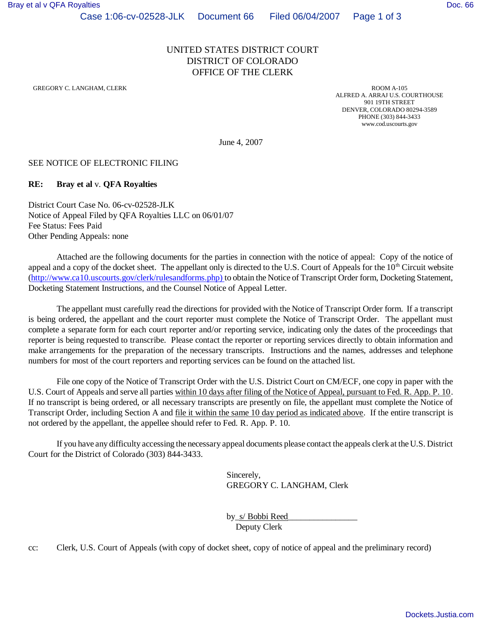# UNITED STATES DISTRICT COURT DISTRICT OF COLORADO OFFICE OF THE CLERK

GREGORY C. LANGHAM, CLERK ROOM A-105

ALFRED A. ARRAJ U.S. COURTHOUSE 901 19TH STREET DENVER, COLORADO 80294-3589 PHONE (303) 844-3433 www.cod.uscourts.gov

June 4, 2007

#### SEE NOTICE OF ELECTRONIC FILING

#### **RE: Bray et al** v. **QFA Royalties**

District Court Case No. 06-cv-02528-JLK Notice of Appeal Filed by QFA Royalties LLC on 06/01/07 Fee Status: Fees Paid Other Pending Appeals: none

Attached are the following documents for the parties in connection with the notice of appeal: Copy of the notice of appeal and a copy of the docket sheet. The appellant only is directed to the U.S. Court of Appeals for the  $10<sup>th</sup>$  Circuit website (http://www.ca10.uscourts.gov/clerk/rulesandforms.php) to obtain the Notice of Transcript Order form, Docketing Statement, Docketing Statement Instructions, and the Counsel Notice of Appeal Letter.

The appellant must carefully read the directions for provided with the Notice of Transcript Order form. If a transcript is being ordered, the appellant and the court reporter must complete the Notice of Transcript Order. The appellant must complete a separate form for each court reporter and/or reporting service, indicating only the dates of the proceedings that reporter is being requested to transcribe. Please contact the reporter or reporting services directly to obtain information and make arrangements for the preparation of the necessary transcripts. Instructions and the names, addresses and telephone numbers for most of the court reporters and reporting services can be found on the attached list.

File one copy of the Notice of Transcript Order with the U.S. District Court on CM/ECF, one copy in paper with the U.S. Court of Appeals and serve all parties within 10 days after filing of the Notice of Appeal, pursuant to Fed. R. App. P. 10. If no transcript is being ordered, or all necessary transcripts are presently on file, the appellant must complete the Notice of Transcript Order, including Section A and file it within the same 10 day period as indicated above. If the entire transcript is not ordered by the appellant, the appellee should refer to Fed. R. App. P. 10.

If you have any difficulty accessing the necessary appeal documents please contact the appeals clerk at the U.S. District Court for the District of Colorado (303) 844-3433.

> Sincerely, GREGORY C. LANGHAM, Clerk

by\_s/ Bobbi Reed\_\_\_\_\_\_\_\_\_\_\_\_\_\_\_\_ Deputy Clerk

cc: Clerk, U.S. Court of Appeals (with copy of docket sheet, copy of notice of appeal and the preliminary record)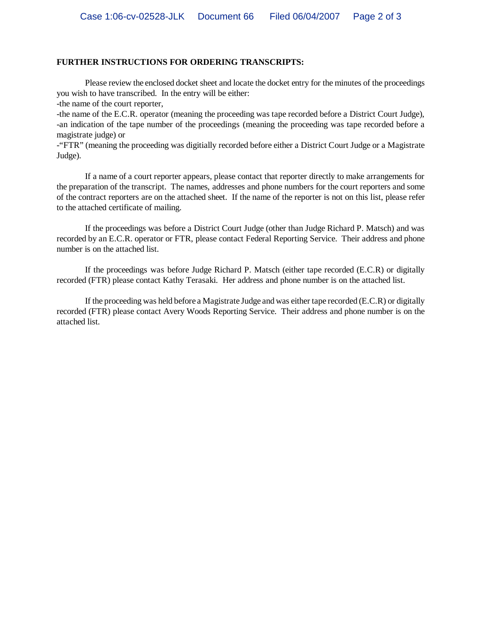#### **FURTHER INSTRUCTIONS FOR ORDERING TRANSCRIPTS:**

Please review the enclosed docket sheet and locate the docket entry for the minutes of the proceedings you wish to have transcribed. In the entry will be either:

-the name of the court reporter,

-the name of the E.C.R. operator (meaning the proceeding was tape recorded before a District Court Judge), -an indication of the tape number of the proceedings (meaning the proceeding was tape recorded before a magistrate judge) or

-"FTR" (meaning the proceeding was digitially recorded before either a District Court Judge or a Magistrate Judge).

If a name of a court reporter appears, please contact that reporter directly to make arrangements for the preparation of the transcript. The names, addresses and phone numbers for the court reporters and some of the contract reporters are on the attached sheet. If the name of the reporter is not on this list, please refer to the attached certificate of mailing.

If the proceedings was before a District Court Judge (other than Judge Richard P. Matsch) and was recorded by an E.C.R. operator or FTR, please contact Federal Reporting Service. Their address and phone number is on the attached list.

If the proceedings was before Judge Richard P. Matsch (either tape recorded (E.C.R) or digitally recorded (FTR) please contact Kathy Terasaki. Her address and phone number is on the attached list.

If the proceeding was held before a Magistrate Judge and was either tape recorded (E.C.R) or digitally recorded (FTR) please contact Avery Woods Reporting Service. Their address and phone number is on the attached list.